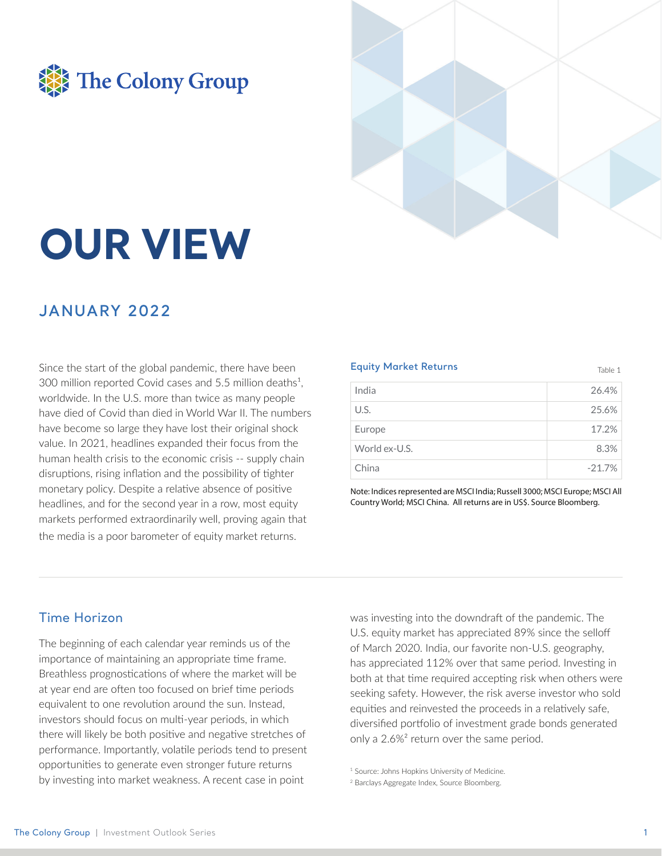



# **OUR VIEW**

### **JANUARY 2022**

Since the start of the global pandemic, there have been 300 million reported Covid cases and 5.5 million deaths<sup>1</sup>, worldwide. In the U.S. more than twice as many people have died of Covid than died in World War II. The numbers have become so large they have lost their original shock value. In 2021, headlines expanded their focus from the human health crisis to the economic crisis -- supply chain disruptions, rising inflation and the possibility of tighter monetary policy. Despite a relative absence of positive headlines, and for the second year in a row, most equity markets performed extraordinarily well, proving again that the media is a poor barometer of equity market returns.

#### **Equity Market Returns** Table 1 India 26.4%  $U.S.$ 25.6% Europe 17.2% World ex-U.S. 8.3% China  $-21.7%$

Note: Indices represented are MSCI India; Russell 3000; MSCI Europe; MSCI All Country World; MSCI China. All returns are in US\$. Source Bloomberg.

#### **Time Horizon**

The beginning of each calendar year reminds us of the importance of maintaining an appropriate time frame. Breathless prognostications of where the market will be at year end are often too focused on brief time periods equivalent to one revolution around the sun. Instead. investors should focus on multi-year periods, in which there will likely be both positive and negative stretches of performance. Importantly, volatile periods tend to present opportunities to generate even stronger future returns by investing into market weakness. A recent case in point

was investing into the downdraft of the pandemic. The U.S. equity market has appreciated 89% since the selloff of March 2020. India, our favorite non-U.S. geography, has appreciated 112% over that same period. Investing in both at that time required accepting risk when others were seeking safety. However, the risk averse investor who sold equities and reinvested the proceeds in a relatively safe, diversified portfolio of investment grade bonds generated only a 2.6%<sup>2</sup> return over the same period.

<sup>&</sup>lt;sup>1</sup> Source: Johns Hopkins University of Medicine.

<sup>&</sup>lt;sup>2</sup> Barclays Aggregate Index, Source Bloomberg.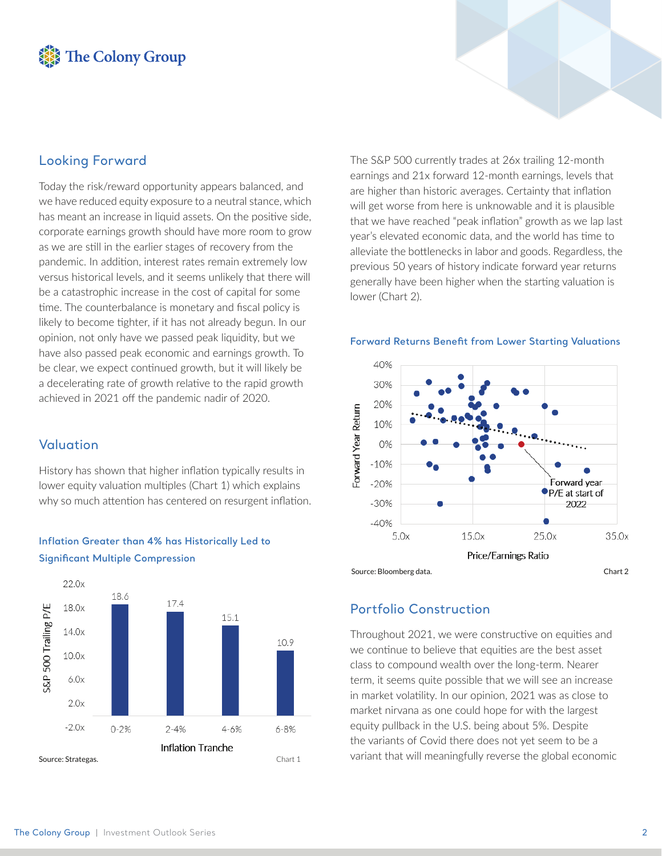## The Colony Group

#### **Looking Forward**

Today the risk/reward opportunity appears balanced, and we have reduced equity exposure to a neutral stance, which has meant an increase in liquid assets. On the positive side, corporate earnings growth should have more room to grow as we are still in the earlier stages of recovery from the pandemic. In addition, interest rates remain extremely low versus historical levels, and it seems unlikely that there will be a catastrophic increase in the cost of capital for some time. The counterbalance is monetary and fiscal policy is likely to become tighter, if it has not already begun. In our opinion, not only have we passed peak liquidity, but we have also passed peak economic and earnings growth. To be clear, we expect continued growth, but it will likely be a decelerating rate of growth relative to the rapid growth achieved in 2021 off the pandemic nadir of 2020.

#### Valuation

History has shown that higher inflation typically results in lower equity valuation multiples (Chart 1) which explains why so much attention has centered on resurgent inflation.



# Inflation Greater than 4% has Historically Led to

17.4 S&P 500 Trailing P/E 18.0x  $15.1$  $14.0x$ 10.9  $10.0x$  $6.0x$  $2.0x$  $-2.0x$  $0 - 2%$  $2 - 4%$  $4 - 6%$ 6-8% Inflation Tranche Source: Strategas. Chart 1

The S&P 500 currently trades at 26x trailing 12-month earnings and 21x forward 12-month earnings, levels that are higher than historic averages. Certainty that inflation will get worse from here is unknowable and it is plausible that we have reached "peak inflation" growth as we lap last year's elevated economic data, and the world has time to alleviate the bottlenecks in labor and goods. Regardless, the previous 50 years of history indicate forward year returns generally have been higher when the starting valuation is lower (Chart 2).





#### **Portfolio Construction**

Throughout 2021, we were constructive on equities and we continue to believe that equities are the best asset class to compound wealth over the long-term. Nearer term, it seems quite possible that we will see an increase in market volatility. In our opinion, 2021 was as close to market nirvana as one could hope for with the largest equity pullback in the U.S. being about 5%. Despite the variants of Covid there does not yet seem to be a variant that will meaningfully reverse the global economic